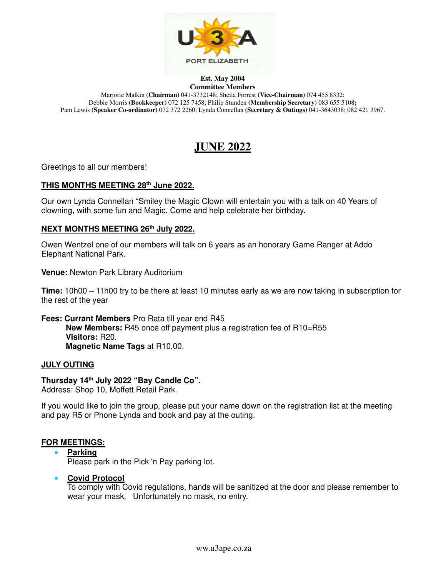

#### **Est. May 2004 Committee Members**

Marjorie Malkin **(Chairman)** 041-3732148; Sheila Forrest **(Vice-Chairman)** 074 455 8332; Debbie Morris **(Bookkeeper)** 072 125 7458; Philip Stunden **(Membership Secretary)** 083 655 5108**;**  Pam Lewis **(Speaker Co-ordinator)** 072 372 2260; Lynda Connellan **(Secretary & Outings)** 041-3643038; 082 421 3967.

# **JUNE 2022**

Greetings to all our members!

## **THIS MONTHS MEETING 28th June 2022.**

Our own Lynda Connellan "Smiley the Magic Clown will entertain you with a talk on 40 Years of clowning, with some fun and Magic. Come and help celebrate her birthday.

## **NEXT MONTHS MEETING 26th July 2022.**

Owen Wentzel one of our members will talk on 6 years as an honorary Game Ranger at Addo Elephant National Park.

**Venue:** Newton Park Library Auditorium

**Time:** 10h00 – 11h00 try to be there at least 10 minutes early as we are now taking in subscription for the rest of the year

**Fees: Currant Members** Pro Rata till year end R45 **New Members:** R45 once off payment plus a registration fee of R10=R55 **Visitors:** R20. **Magnetic Name Tags** at R10.00.

## **JULY OUTING**

## **Thursday 14th July 2022 "Bay Candle Co".**

Address: Shop 10, Moffett Retail Park.

If you would like to join the group, please put your name down on the registration list at the meeting and pay R5 or Phone Lynda and book and pay at the outing.

## **FOR MEETINGS:**

• **Parking** 

Please park in the Pick 'n Pay parking lot.

• **Covid Protocol** 

To comply with Covid regulations, hands will be sanitized at the door and please remember to wear your mask. Unfortunately no mask, no entry.